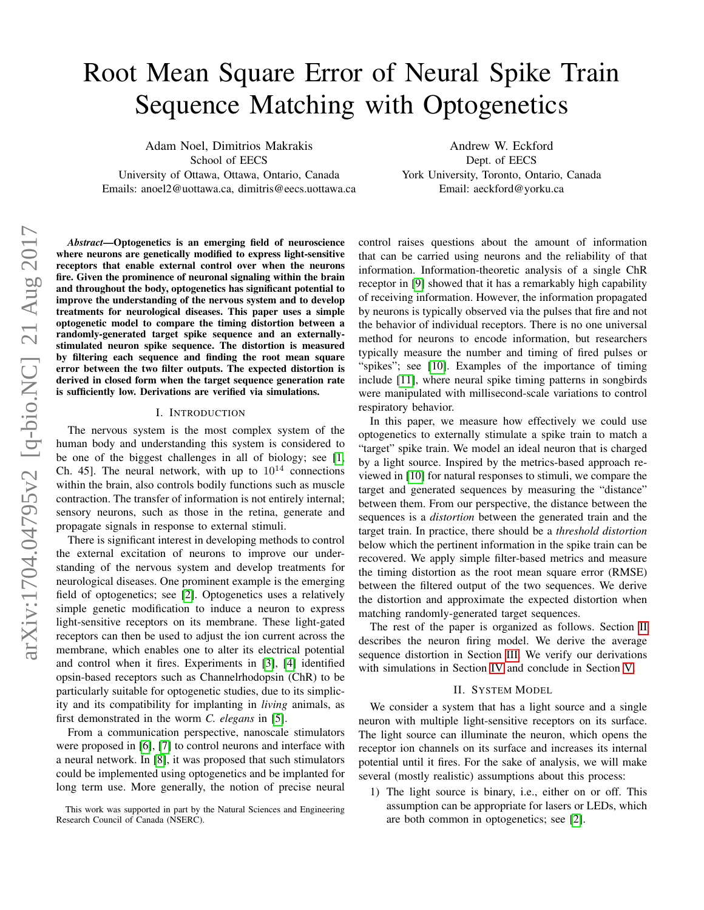# Root Mean Square Error of Neural Spike Train Sequence Matching with Optogenetics

Adam Noel, Dimitrios Makrakis School of EECS University of Ottawa, Ottawa, Ontario, Canada Emails: anoel2@uottawa.ca, dimitris@eecs.uottawa.ca

Andrew W. Eckford Dept. of EECS York University, Toronto, Ontario, Canada Email: aeckford@yorku.ca

*Abstract*—Optogenetics is an emerging field of neuroscience where neurons are genetically modified to express light-sensitive receptors that enable external control over when the neurons fire. Given the prominence of neuronal signaling within the brain and throughout the body, optogenetics has significant potential to improve the understanding of the nervous system and to develop treatments for neurological diseases. This paper uses a simple optogenetic model to compare the timing distortion between a randomly-generated target spike sequence and an externallystimulated neuron spike sequence. The distortion is measured by filtering each sequence and finding the root mean square error between the two filter outputs. The expected distortion is derived in closed form when the target sequence generation rate is sufficiently low. Derivations are verified via simulations.

#### I. INTRODUCTION

The nervous system is the most complex system of the human body and understanding this system is considered to be one of the biggest challenges in all of biology; see [\[1,](#page-5-0) Ch. 45]. The neural network, with up to  $10^{14}$  connections within the brain, also controls bodily functions such as muscle contraction. The transfer of information is not entirely internal; sensory neurons, such as those in the retina, generate and propagate signals in response to external stimuli.

There is significant interest in developing methods to control the external excitation of neurons to improve our understanding of the nervous system and develop treatments for neurological diseases. One prominent example is the emerging field of optogenetics; see [\[2\]](#page-5-1). Optogenetics uses a relatively simple genetic modification to induce a neuron to express light-sensitive receptors on its membrane. These light-gated receptors can then be used to adjust the ion current across the membrane, which enables one to alter its electrical potential and control when it fires. Experiments in [\[3\]](#page-5-2), [\[4\]](#page-5-3) identified opsin-based receptors such as Channelrhodopsin (ChR) to be particularly suitable for optogenetic studies, due to its simplicity and its compatibility for implanting in *living* animals, as first demonstrated in the worm *C. elegans* in [\[5\]](#page-5-4).

From a communication perspective, nanoscale stimulators were proposed in [\[6\]](#page-5-5), [\[7\]](#page-5-6) to control neurons and interface with a neural network. In [\[8\]](#page-5-7), it was proposed that such stimulators could be implemented using optogenetics and be implanted for long term use. More generally, the notion of precise neural control raises questions about the amount of information that can be carried using neurons and the reliability of that information. Information-theoretic analysis of a single ChR receptor in [\[9\]](#page-5-8) showed that it has a remarkably high capability of receiving information. However, the information propagated by neurons is typically observed via the pulses that fire and not the behavior of individual receptors. There is no one universal method for neurons to encode information, but researchers typically measure the number and timing of fired pulses or "spikes"; see [\[10\]](#page-5-9). Examples of the importance of timing include [\[11\]](#page-5-10), where neural spike timing patterns in songbirds were manipulated with millisecond-scale variations to control respiratory behavior.

In this paper, we measure how effectively we could use optogenetics to externally stimulate a spike train to match a "target" spike train. We model an ideal neuron that is charged by a light source. Inspired by the metrics-based approach reviewed in [\[10\]](#page-5-9) for natural responses to stimuli, we compare the target and generated sequences by measuring the "distance" between them. From our perspective, the distance between the sequences is a *distortion* between the generated train and the target train. In practice, there should be a *threshold distortion* below which the pertinent information in the spike train can be recovered. We apply simple filter-based metrics and measure the timing distortion as the root mean square error (RMSE) between the filtered output of the two sequences. We derive the distortion and approximate the expected distortion when matching randomly-generated target sequences.

The rest of the paper is organized as follows. Section [II](#page-0-0) describes the neuron firing model. We derive the average sequence distortion in Section [III.](#page-1-0) We verify our derivations with simulations in Section [IV](#page-4-0) and conclude in Section [V.](#page-5-11)

#### II. SYSTEM MODEL

<span id="page-0-0"></span>We consider a system that has a light source and a single neuron with multiple light-sensitive receptors on its surface. The light source can illuminate the neuron, which opens the receptor ion channels on its surface and increases its internal potential until it fires. For the sake of analysis, we will make several (mostly realistic) assumptions about this process:

1) The light source is binary, i.e., either on or off. This assumption can be appropriate for lasers or LEDs, which are both common in optogenetics; see [\[2\]](#page-5-1).

This work was supported in part by the Natural Sciences and Engineering Research Council of Canada (NSERC).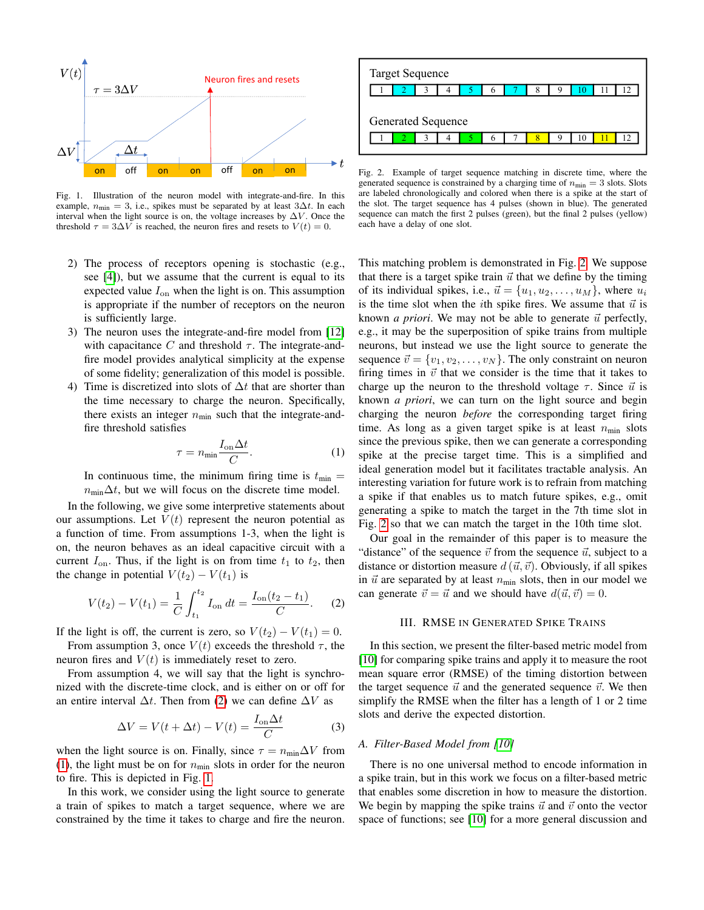

<span id="page-1-3"></span>Fig. 1. Illustration of the neuron model with integrate-and-fire. In this example,  $n_{\text{min}} = 3$ , i.e., spikes must be separated by at least 3∆t. In each interval when the light source is on, the voltage increases by  $\Delta V$ . Once the threshold  $\tau = 3\Delta V$  is reached, the neuron fires and resets to  $V(t) = 0$ .

- 2) The process of receptors opening is stochastic (e.g., see [\[4\]](#page-5-3)), but we assume that the current is equal to its expected value  $I_{on}$  when the light is on. This assumption is appropriate if the number of receptors on the neuron is sufficiently large.
- 3) The neuron uses the integrate-and-fire model from [\[12\]](#page-5-12) with capacitance C and threshold  $\tau$ . The integrate-andfire model provides analytical simplicity at the expense of some fidelity; generalization of this model is possible.
- 4) Time is discretized into slots of  $\Delta t$  that are shorter than the time necessary to charge the neuron. Specifically, there exists an integer  $n_{\text{min}}$  such that the integrate-andfire threshold satisfies

<span id="page-1-2"></span>
$$
\tau = n_{\min} \frac{I_{\text{on}} \Delta t}{C}.
$$
 (1)

In continuous time, the minimum firing time is  $t_{\min} =$  $n_{\min}\Delta t$ , but we will focus on the discrete time model.

In the following, we give some interpretive statements about our assumptions. Let  $V(t)$  represent the neuron potential as a function of time. From assumptions 1-3, when the light is on, the neuron behaves as an ideal capacitive circuit with a current  $I_{\text{on}}$ . Thus, if the light is on from time  $t_1$  to  $t_2$ , then the change in potential  $V(t_2) - V(t_1)$  is

<span id="page-1-1"></span>
$$
V(t_2) - V(t_1) = \frac{1}{C} \int_{t_1}^{t_2} I_{\text{on}} dt = \frac{I_{\text{on}}(t_2 - t_1)}{C}.
$$
 (2)

If the light is off, the current is zero, so  $V(t_2) - V(t_1) = 0$ .

From assumption 3, once  $V(t)$  exceeds the threshold  $\tau$ , the neuron fires and  $V(t)$  is immediately reset to zero.

From assumption 4, we will say that the light is synchronized with the discrete-time clock, and is either on or off for an entire interval  $\Delta t$ . Then from [\(2\)](#page-1-1) we can define  $\Delta V$  as

$$
\Delta V = V(t + \Delta t) - V(t) = \frac{I_{\text{on}} \Delta t}{C}
$$
 (3)

when the light source is on. Finally, since  $\tau = n_{\min} \Delta V$  from [\(1\)](#page-1-2), the light must be on for  $n_{\min}$  slots in order for the neuron to fire. This is depicted in Fig. [1.](#page-1-3)

In this work, we consider using the light source to generate a train of spikes to match a target sequence, where we are



<span id="page-1-4"></span>Fig. 2. Example of target sequence matching in discrete time, where the generated sequence is constrained by a charging time of  $n_{\text{min}} = 3$  slots. Slots are labeled chronologically and colored when there is a spike at the start of the slot. The target sequence has 4 pulses (shown in blue). The generated sequence can match the first 2 pulses (green), but the final 2 pulses (yellow) each have a delay of one slot.

constrained by the constrained by the time is the time in the time in the neuron of  $\alpha$  is the neuron of  $\alpha$  is the neuron of  $\alpha$  is the neuron of  $\alpha$  is the neuron of  $\alpha$  is the neuron of  $\alpha$  is the neuron of  $\alpha$  This matching problem is demonstrated in Fig. [2.](#page-1-4) We suppose that there is a target spike train  $\vec{u}$  that we define by the timing of its individual spikes, i.e.,  $\vec{u} = \{u_1, u_2, \dots, u_M\}$ , where  $u_i$ is the time slot when the *i*th spike fires. We assume that  $\vec{u}$  is known *a priori*. We may not be able to generate  $\vec{u}$  perfectly, e.g., it may be the superposition of spike trains from multiple neurons, but instead we use the light source to generate the sequence  $\vec{v} = \{v_1, v_2, \dots, v_N\}$ . The only constraint on neuron firing times in  $\vec{v}$  that we consider is the time that it takes to charge up the neuron to the threshold voltage  $\tau$ . Since  $\vec{u}$  is known *a priori*, we can turn on the light source and begin charging the neuron *before* the corresponding target firing time. As long as a given target spike is at least  $n_{\text{min}}$  slots since the previous spike, then we can generate a corresponding spike at the precise target time. This is a simplified and ideal generation model but it facilitates tractable analysis. An interesting variation for future work is to refrain from matching a spike if that enables us to match future spikes, e.g., omit generating a spike to match the target in the 7th time slot in Fig. [2](#page-1-4) so that we can match the target in the 10th time slot.

Our goal in the remainder of this paper is to measure the "distance" of the sequence  $\vec{v}$  from the sequence  $\vec{u}$ , subject to a distance or distortion measure  $d(\vec{u}, \vec{v})$ . Obviously, if all spikes in  $\vec{u}$  are separated by at least  $n_{\text{min}}$  slots, then in our model we can generate  $\vec{v} = \vec{u}$  and we should have  $d(\vec{u}, \vec{v}) = 0$ .

### III. RMSE IN GENERATED SPIKE TRAINS

<span id="page-1-0"></span>In this section, we present the filter-based metric model from [\[10\]](#page-5-9) for comparing spike trains and apply it to measure the root mean square error (RMSE) of the timing distortion between the target sequence  $\vec{u}$  and the generated sequence  $\vec{v}$ . We then simplify the RMSE when the filter has a length of 1 or 2 time slots and derive the expected distortion.

#### *A. Filter-Based Model from [\[10\]](#page-5-9)*

There is no one universal method to encode information in a spike train, but in this work we focus on a filter-based metric that enables some discretion in how to measure the distortion. We begin by mapping the spike trains  $\vec{u}$  and  $\vec{v}$  onto the vector space of functions; see [\[10\]](#page-5-9) for a more general discussion and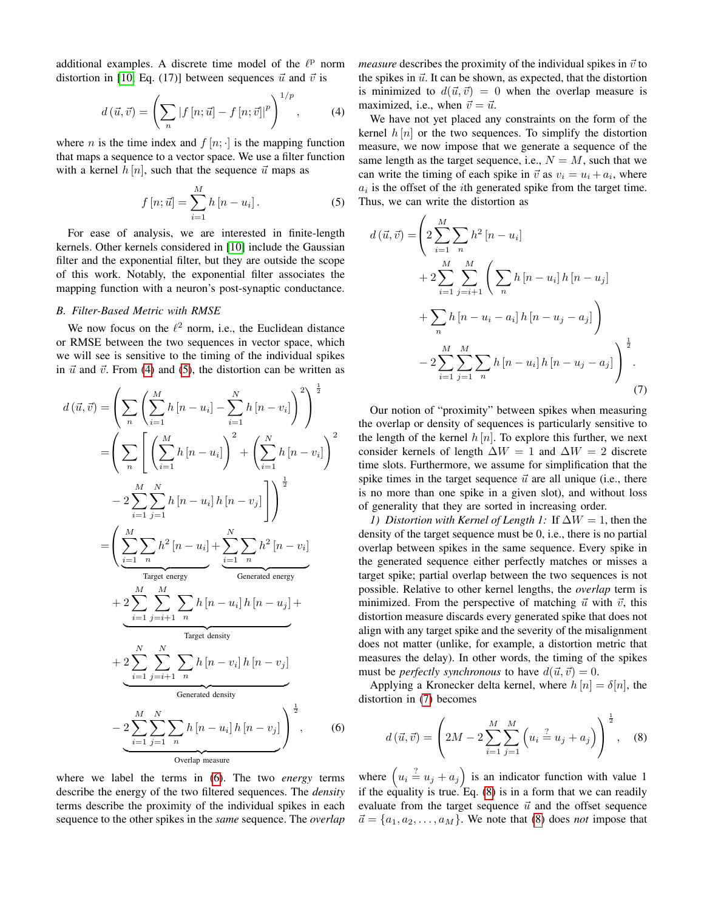additional examples. A discrete time model of the  $\ell^{\rm p}$  norm distortion in [\[10,](#page-5-9) Eq. (17)] between sequences  $\vec{u}$  and  $\vec{v}$  is

<span id="page-2-0"></span>
$$
d\left(\vec{u},\vec{v}\right) = \left(\sum_{n} \left|f\left[n;\vec{u}\right] - f\left[n;\vec{v}\right]\right|^{p}\right)^{1/p},\tag{4}
$$

where *n* is the time index and  $f[n; \cdot]$  is the mapping function that maps a sequence to a vector space. We use a filter function with a kernel  $h[n]$ , such that the sequence  $\vec{u}$  maps as

<span id="page-2-1"></span>
$$
f[n; \vec{u}] = \sum_{i=1}^{M} h[n - u_i].
$$
 (5)

For ease of analysis, we are interested in finite-length kernels. Other kernels considered in [\[10\]](#page-5-9) include the Gaussian filter and the exponential filter, but they are outside the scope of this work. Notably, the exponential filter associates the mapping function with a neuron's post-synaptic conductance.

## *B. Filter-Based Metric with RMSE*

We now focus on the  $\ell^2$  norm, i.e., the Euclidean distance or RMSE between the two sequences in vector space, which we will see is sensitive to the timing of the individual spikes in  $\vec{u}$  and  $\vec{v}$ . From [\(4\)](#page-2-0) and [\(5\)](#page-2-1), the distortion can be written as

$$
d(\vec{u}, \vec{v}) = \left(\sum_{n} \left(\sum_{i=1}^{M} h[n - u_i] - \sum_{i=1}^{N} h[n - v_i]\right)^{2}\right)^{\frac{1}{2}}
$$
  
\n
$$
= \left(\sum_{n} \left[\left(\sum_{i=1}^{M} h[n - u_i]\right)^{2} + \left(\sum_{i=1}^{N} h[n - v_i]\right)^{2}\right]
$$
  
\n
$$
- 2 \sum_{i=1}^{M} \sum_{j=1}^{N} h[n - u_i] h[n - v_j]\right]^{\frac{1}{2}}
$$
  
\n
$$
= \left(\sum_{i=1}^{M} \sum_{n} h^{2}[n - u_i] + \sum_{i=1}^{N} \sum_{n} h^{2}[n - v_i]\right)^{\frac{1}{2}}
$$
  
\nTarget energy  
\n
$$
+ 2 \sum_{i=1}^{M} \sum_{j=i+1}^{M} \sum_{n} h[n - u_i] h[n - u_j] +
$$
  
\nTarget density  
\n
$$
+ 2 \sum_{i=1}^{N} \sum_{j=i+1}^{N} \sum_{n} h[n - v_i] h[n - v_j]
$$
  
\nGeneral density  
\nGeneral density

where we label the terms in [\(6\)](#page-2-2). The two *energy* terms describe the energy of the two filtered sequences. The *density* terms describe the proximity of the individual spikes in each sequence to the other spikes in the *same* sequence. The *overlap* *measure* describes the proximity of the individual spikes in  $\vec{v}$  to the spikes in  $\vec{u}$ . It can be shown, as expected, that the distortion is minimized to  $d(\vec{u}, \vec{v}) = 0$  when the overlap measure is maximized, i.e., when  $\vec{v} = \vec{u}$ .

We have not yet placed any constraints on the form of the kernel  $h[n]$  or the two sequences. To simplify the distortion measure, we now impose that we generate a sequence of the same length as the target sequence, i.e.,  $N = M$ , such that we can write the timing of each spike in  $\vec{v}$  as  $v_i = u_i + a_i$ , where  $a_i$  is the offset of the *i*th generated spike from the target time. Thus, we can write the distortion as

$$
d(\vec{u}, \vec{v}) = \left(2\sum_{i=1}^{M} \sum_{n} h^{2} [n - u_{i}] + 2\sum_{i=1}^{M} \sum_{j=i+1}^{M} \left(\sum_{n} h [n - u_{i}] h [n - u_{j}] + \sum_{n} h [n - u_{i} - a_{i}] h [n - u_{j} - a_{j}] \right) - 2\sum_{i=1}^{M} \sum_{j=1}^{M} \sum_{n} h [n - u_{i}] h [n - u_{j} - a_{j}] \right)^{\frac{1}{2}}.
$$
\n(7)

<span id="page-2-3"></span>Our notion of "proximity" between spikes when measuring the overlap or density of sequences is particularly sensitive to the length of the kernel  $h[n]$ . To explore this further, we next consider kernels of length  $\Delta W = 1$  and  $\Delta W = 2$  discrete time slots. Furthermore, we assume for simplification that the spike times in the target sequence  $\vec{u}$  are all unique (i.e., there is no more than one spike in a given slot), and without loss of generality that they are sorted in increasing order.

<span id="page-2-5"></span>*1) Distortion with Kernel of Length 1:* If  $\Delta W = 1$ , then the density of the target sequence must be 0, i.e., there is no partial overlap between spikes in the same sequence. Every spike in the generated sequence either perfectly matches or misses a target spike; partial overlap between the two sequences is not possible. Relative to other kernel lengths, the *overlap* term is minimized. From the perspective of matching  $\vec{u}$  with  $\vec{v}$ , this distortion measure discards every generated spike that does not align with any target spike and the severity of the misalignment does not matter (unlike, for example, a distortion metric that measures the delay). In other words, the timing of the spikes must be *perfectly synchronous* to have  $d(\vec{u}, \vec{v}) = 0$ .

<span id="page-2-2"></span>Applying a Kronecker delta kernel, where  $h[n] = \delta[n]$ , the distortion in [\(7\)](#page-2-3) becomes

<span id="page-2-4"></span>
$$
d(\vec{u}, \vec{v}) = \left(2M - 2\sum_{i=1}^{M} \sum_{j=1}^{M} \left(u_i \stackrel{?}{=} u_j + a_j\right)\right)^{\frac{1}{2}}, \quad (8)
$$

where  $(u_i \stackrel{?}{=} u_j + a_j)$  is an indicator function with value 1 if the equality is true.  $Eq. (8)$  $Eq. (8)$  is in a form that we can readily evaluate from the target sequence  $\vec{u}$  and the offset sequence  $\vec{a} = \{a_1, a_2, \dots, a_M\}$ . We note that [\(8\)](#page-2-4) does *not* impose that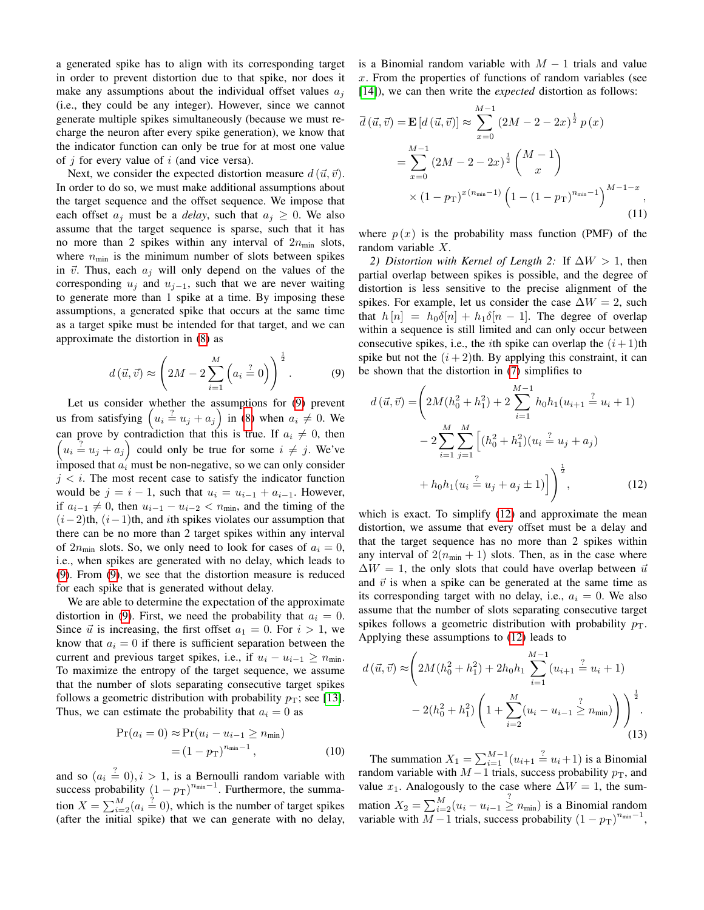a generated spike has to align with its corresponding target in order to prevent distortion due to that spike, nor does it make any assumptions about the individual offset values  $a_i$ (i.e., they could be any integer). However, since we cannot generate multiple spikes simultaneously (because we must recharge the neuron after every spike generation), we know that the indicator function can only be true for at most one value of  $j$  for every value of  $i$  (and vice versa).

Next, we consider the expected distortion measure  $d(\vec{u}, \vec{v})$ . In order to do so, we must make additional assumptions about the target sequence and the offset sequence. We impose that each offset  $a_i$  must be a *delay*, such that  $a_i \geq 0$ . We also assume that the target sequence is sparse, such that it has no more than 2 spikes within any interval of  $2n_{\text{min}}$  slots, where  $n_{\text{min}}$  is the minimum number of slots between spikes in  $\vec{v}$ . Thus, each  $a_j$  will only depend on the values of the corresponding  $u_j$  and  $u_{j-1}$ , such that we are never waiting to generate more than 1 spike at a time. By imposing these assumptions, a generated spike that occurs at the same time as a target spike must be intended for that target, and we can approximate the distortion in [\(8\)](#page-2-4) as

<span id="page-3-0"></span>
$$
d\left(\vec{u},\vec{v}\right) \approx \left(2M - 2\sum_{i=1}^{M} \left(a_i \stackrel{?}{=} 0\right)\right)^{\frac{1}{2}}.\tag{9}
$$

Let us consider whether the assumptions for [\(9\)](#page-3-0) prevent us from satisfying  $(u_i \stackrel{?}{=} u_j + a_j)$  in [\(8\)](#page-2-4) when  $a_i \neq 0$ . We  $\left(u_i\right)\overset{?}{=} u_j + a_j\right)$  could only be true for some  $i \neq j$ . We've can prove by contradiction that this is true. If  $a_i \neq 0$ , then imposed that  $a_i$  must be non-negative, so we can only consider  $j < i$ . The most recent case to satisfy the indicator function would be  $j = i - 1$ , such that  $u_i = u_{i-1} + a_{i-1}$ . However, if  $a_{i-1} \neq 0$ , then  $u_{i-1} - u_{i-2} < n$ <sub>min</sub>, and the timing of the  $(i-2)$ th,  $(i-1)$ th, and *i*th spikes violates our assumption that there can be no more than 2 target spikes within any interval of  $2n_{\text{min}}$  slots. So, we only need to look for cases of  $a_i = 0$ , i.e., when spikes are generated with no delay, which leads to [\(9\)](#page-3-0). From [\(9\)](#page-3-0), we see that the distortion measure is reduced for each spike that is generated without delay.

We are able to determine the expectation of the approximate distortion in [\(9\)](#page-3-0). First, we need the probability that  $a_i = 0$ . Since  $\vec{u}$  is increasing, the first offset  $a_1 = 0$ . For  $i > 1$ , we know that  $a_i = 0$  if there is sufficient separation between the current and previous target spikes, i.e., if  $u_i - u_{i-1} \ge n_{\text{min}}$ . To maximize the entropy of the target sequence, we assume that the number of slots separating consecutive target spikes follows a geometric distribution with probability  $p_T$ ; see [\[13\]](#page-5-13). Thus, we can estimate the probability that  $a_i = 0$  as

$$
Pr(a_i = 0) \approx Pr(u_i - u_{i-1} \ge n_{min})
$$
  
=  $(1 - p_T)^{n_{min} - 1}$ , (10)

and so  $(a_i \stackrel{?}{=} 0), i > 1$ , is a Bernoulli random variable with success probability  $(1 - p_T)^{n_{min} - 1}$ . Furthermore, the summation  $X = \sum_{i=2}^{M} (a_i \stackrel{?}{=} 0)$ , which is the number of target spikes (after the initial spike) that we can generate with no delay,

is a Binomial random variable with  $M - 1$  trials and value  $x$ . From the properties of functions of random variables (see [\[14\]](#page-5-14)), we can then write the *expected* distortion as follows:

$$
\overline{d}(\vec{u}, \vec{v}) = \mathbf{E} [d(\vec{u}, \vec{v})] \approx \sum_{x=0}^{M-1} (2M - 2 - 2x)^{\frac{1}{2}} p(x)
$$
  
= 
$$
\sum_{x=0}^{M-1} (2M - 2 - 2x)^{\frac{1}{2}} {M-1 \choose x}
$$
  

$$
\times (1 - p_{\text{T}})^{x(n_{\text{min}}-1)} (1 - (1 - p_{\text{T}})^{n_{\text{min}}-1})^{M-1-x},
$$
\n(11)

<span id="page-3-2"></span>where  $p(x)$  is the probability mass function (PMF) of the random variable X.

*2) Distortion with Kernel of Length 2:* If ∆W > 1, then partial overlap between spikes is possible, and the degree of distortion is less sensitive to the precise alignment of the spikes. For example, let us consider the case  $\Delta W = 2$ , such that  $h[n] = h_0 \delta[n] + h_1 \delta[n-1]$ . The degree of overlap within a sequence is still limited and can only occur between consecutive spikes, i.e., the *i*th spike can overlap the  $(i + 1)$ th spike but not the  $(i + 2)$ th. By applying this constraint, it can be shown that the distortion in [\(7\)](#page-2-3) simplifies to

$$
d(\vec{u}, \vec{v}) = \left(2M(h_0^2 + h_1^2) + 2\sum_{i=1}^{M-1} h_0 h_1 (u_{i+1} \stackrel{?}{=} u_i + 1) - 2\sum_{i=1}^{M} \sum_{j=1}^{M} \left[ (h_0^2 + h_1^2)(u_i \stackrel{?}{=} u_j + a_j) + h_0 h_1 (u_i \stackrel{?}{=} u_j + a_j \pm 1) \right] \right)^{\frac{1}{2}},
$$
(12)

<span id="page-3-1"></span>which is exact. To simplify [\(12\)](#page-3-1) and approximate the mean distortion, we assume that every offset must be a delay and that the target sequence has no more than 2 spikes within any interval of  $2(n_{min} + 1)$  slots. Then, as in the case where  $\Delta W = 1$ , the only slots that could have overlap between  $\vec{u}$ and  $\vec{v}$  is when a spike can be generated at the same time as its corresponding target with no delay, i.e.,  $a_i = 0$ . We also assume that the number of slots separating consecutive target spikes follows a geometric distribution with probability  $p_T$ . Applying these assumptions to [\(12\)](#page-3-1) leads to

$$
d(\vec{u}, \vec{v}) \approx \left(2M(h_0^2 + h_1^2) + 2h_0h_1\sum_{i=1}^{M-1} (u_{i+1} \stackrel{?}{=} u_i + 1) - 2(h_0^2 + h_1^2) \left(1 + \sum_{i=2}^{M} (u_i - u_{i-1} \stackrel{?}{\geq} n_{\text{min}})\right)\right)^{\frac{1}{2}}.
$$
\n(13)

<span id="page-3-3"></span>The summation  $X_1 = \sum_{i=1}^{M-1} (u_{i+1} \stackrel{?}{=} u_i+1)$  is a Binomial random variable with  $M-1$  trials, success probability  $p_T$ , and value  $x_1$ . Analogously to the case where  $\Delta W = 1$ , the summation  $X_2 = \sum_{i=2}^{M} (u_i - u_{i-1} \overset{?}{\geq} n_{\text{min}})$  is a Binomial random variable with  $\overline{M-1}$  trials, success probability  $(1 - p_T)^{n_{min}-1}$ ,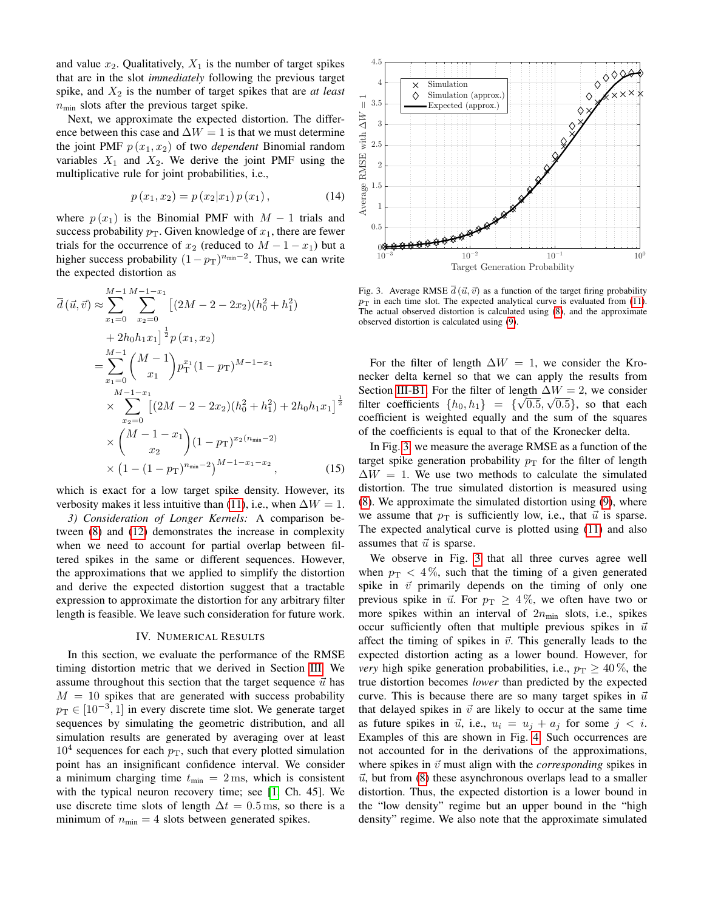and value  $x_2$ . Qualitatively,  $X_1$  is the number of target spikes that are in the slot *immediately* following the previous target spike, and X<sup>2</sup> is the number of target spikes that are *at least*  $n_{\text{min}}$  slots after the previous target spike.

Next, we approximate the expected distortion. The difference between this case and  $\Delta W = 1$  is that we must determine the joint PMF  $p(x_1, x_2)$  of two *dependent* Binomial random variables  $X_1$  and  $X_2$ . We derive the joint PMF using the multiplicative rule for joint probabilities, i.e.,

$$
p(x_1, x_2) = p(x_2|x_1) p(x_1), \qquad (14)
$$

where  $p(x_1)$  is the Binomial PMF with  $M-1$  trials and success probability  $p_T$ . Given knowledge of  $x_1$ , there are fewer trials for the occurrence of  $x_2$  (reduced to  $M - 1 - x_1$ ) but a higher success probability  $(1 - p_T)^{n_{min} - 2}$ . Thus, we can write the expected distortion as

$$
\overline{d}(\vec{u},\vec{v}) \approx \sum_{x_1=0}^{M-1} \sum_{x_2=0}^{M-1-x_1} \left[ (2M - 2 - 2x_2)(h_0^2 + h_1^2) + 2h_0h_1x_1 \right]^{\frac{1}{2}} p(x_1, x_2)
$$
  
\n
$$
= \sum_{x_1=0}^{M-1} {M-1 \choose x_1} p_T^{x_1} (1 - p_T)^{M-1-x_1}
$$
  
\n
$$
\times \sum_{x_2=0}^{M-1-x_1} \left[ (2M - 2 - 2x_2)(h_0^2 + h_1^2) + 2h_0h_1x_1 \right]^{\frac{1}{2}}
$$
  
\n
$$
\times {M-1-x_1 \choose x_2} (1 - p_T)^{x_2(n_{\min}-2)}
$$
  
\n
$$
\times (1 - (1 - p_T)^{n_{\min}-2})^{M-1-x_1-x_2}, \qquad (15)
$$

which is exact for a low target spike density. However, its verbosity makes it less intuitive than [\(11\)](#page-3-2), i.e., when  $\Delta W = 1$ .

*3) Consideration of Longer Kernels:* A comparison between [\(8\)](#page-2-4) and [\(12\)](#page-3-1) demonstrates the increase in complexity when we need to account for partial overlap between filtered spikes in the same or different sequences. However, the approximations that we applied to simplify the distortion and derive the expected distortion suggest that a tractable expression to approximate the distortion for any arbitrary filter length is feasible. We leave such consideration for future work.

#### IV. NUMERICAL RESULTS

<span id="page-4-0"></span>In this section, we evaluate the performance of the RMSE timing distortion metric that we derived in Section [III.](#page-1-0) We assume throughout this section that the target sequence  $\vec{u}$  has  $M = 10$  spikes that are generated with success probability  $p_{\text{T}} \in [10^{-3}, 1]$  in every discrete time slot. We generate target sequences by simulating the geometric distribution, and all simulation results are generated by averaging over at least  $10<sup>4</sup>$  sequences for each  $p<sub>T</sub>$ , such that every plotted simulation point has an insignificant confidence interval. We consider a minimum charging time  $t_{\min} = 2$  ms, which is consistent with the typical neuron recovery time; see [\[1,](#page-5-0) Ch. 45]. We use discrete time slots of length  $\Delta t = 0.5$  ms, so there is a minimum of  $n_{\text{min}} = 4$  slots between generated spikes.



<span id="page-4-1"></span>Fig. 3. Average RMSE  $\overline{d}$  ( $\overline{u}$ ,  $\overline{v}$ ) as a function of the target firing probability  $p_T$  in each time slot. The expected analytical curve is evaluated from [\(11\)](#page-3-2). The actual observed distortion is calculated using [\(8\)](#page-2-4), and the approximate observed distortion is calculated using [\(9\)](#page-3-0).

For the filter of length  $\Delta W = 1$ , we consider the Kronecker delta kernel so that we can apply the results from Section [III-B1.](#page-2-5) For the filter of length  $\Delta W = 2$ , we consider filter coefficients  $\{h_0, h_1\} = \{\sqrt{0.5}, \sqrt{0.5}\}$ , so that each coefficient is weighted equally and the sum of the squares of the coefficients is equal to that of the Kronecker delta.

<span id="page-4-2"></span>In Fig. [3,](#page-4-1) we measure the average RMSE as a function of the target spike generation probability  $p_T$  for the filter of length  $\Delta W = 1$ . We use two methods to calculate the simulated distortion. The true simulated distortion is measured using [\(8\)](#page-2-4). We approximate the simulated distortion using [\(9\)](#page-3-0), where we assume that  $p_T$  is sufficiently low, i.e., that  $\vec{u}$  is sparse. The expected analytical curve is plotted using [\(11\)](#page-3-2) and also assumes that  $\vec{u}$  is sparse.

We observe in Fig. [3](#page-4-1) that all three curves agree well when  $p_T < 4\%$ , such that the timing of a given generated spike in  $\vec{v}$  primarily depends on the timing of only one previous spike in  $\vec{u}$ . For  $p_T \geq 4\%$ , we often have two or more spikes within an interval of  $2n_{\text{min}}$  slots, i.e., spikes occur sufficiently often that multiple previous spikes in  $\vec{u}$ affect the timing of spikes in  $\vec{v}$ . This generally leads to the expected distortion acting as a lower bound. However, for *very* high spike generation probabilities, i.e.,  $p_T \geq 40\%$ , the true distortion becomes *lower* than predicted by the expected curve. This is because there are so many target spikes in  $\vec{u}$ that delayed spikes in  $\vec{v}$  are likely to occur at the same time as future spikes in  $\vec{u}$ , i.e.,  $u_i = u_j + a_j$  for some  $j < i$ . Examples of this are shown in Fig. [4.](#page-5-15) Such occurrences are not accounted for in the derivations of the approximations, where spikes in  $\vec{v}$  must align with the *corresponding* spikes in  $\vec{u}$ , but from [\(8\)](#page-2-4) these asynchronous overlaps lead to a smaller distortion. Thus, the expected distortion is a lower bound in the "low density" regime but an upper bound in the "high density" regime. We also note that the approximate simulated